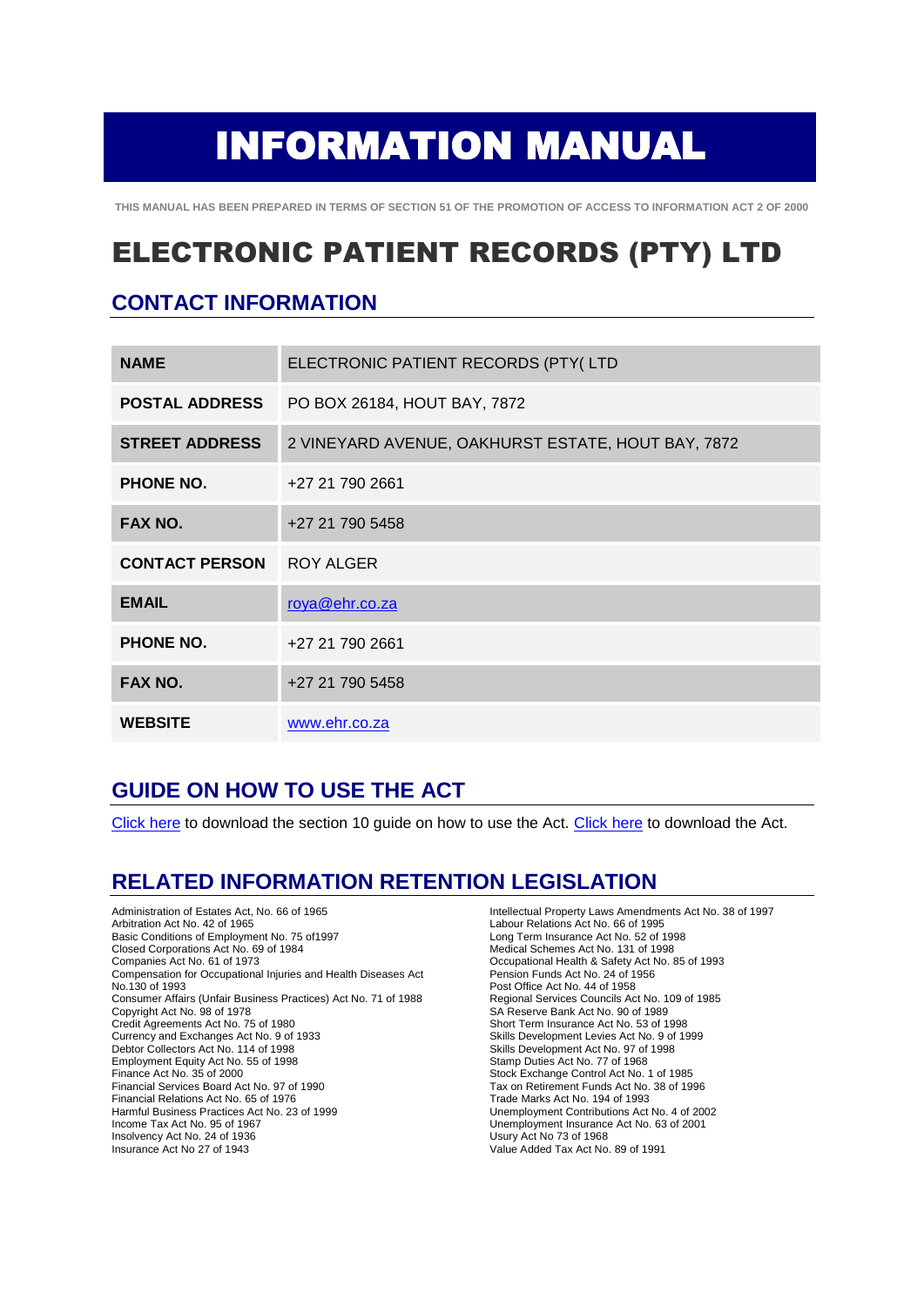# INFORMATION MANUAL

**THIS MANUAL HAS BEEN PREPARED IN TERMS OF SECTION 51 OF THE PROMOTION OF ACCESS TO INFORMATION ACT 2 OF 2000**

# ELECTRONIC PATIENT RECORDS (PTY) LTD

## **CONTACT INFORMATION**

| <b>NAME</b>           | ELECTRONIC PATIENT RECORDS (PTY(LTD                |
|-----------------------|----------------------------------------------------|
| <b>POSTAL ADDRESS</b> | PO BOX 26184, HOUT BAY, 7872                       |
| <b>STREET ADDRESS</b> | 2 VINEYARD AVENUE, OAKHURST ESTATE, HOUT BAY, 7872 |
| <b>PHONE NO.</b>      | +27 21 790 2661                                    |
| FAX NO.               | +27 21 790 5458                                    |
| <b>CONTACT PERSON</b> | ROY ALGER                                          |
| <b>EMAIL</b>          | roya@ehr.co.za                                     |
| <b>PHONE NO.</b>      | +27 21 790 2661                                    |
| FAX NO.               | +27 21 790 5458                                    |
| <b>WEBSITE</b>        | www.ehr.co.za                                      |

#### **GUIDE ON HOW TO USE THE ACT**

[Click here](http://www.sahrc.org.za/sahrc_cms/publish/cat_index_40.shtml) to download the section 10 guide on how to use the Act. [Click here](http://www.acts.co.za/prom_of_access_to_info/index.htm) to download the Act.

#### **RELATED INFORMATION RETENTION LEGISLATION**

Administration of Estates Act, No. 66 of 1965 Arbitration Act No. 42 of 1965 Basic Conditions of Employment No. 75 of1997 Closed Corporations Act No. 69 of 1984 Companies Act No. 61 of 1973 Compensation for Occupational Injuries and Health Diseases Act No.130 of 1993 Consumer Affairs (Unfair Business Practices) Act No. 71 of 1988 Copyright Act No. 98 of 1978 Credit Agreements Act No. 75 of 1980 Currency and Exchanges Act No. 9 of 1933 Debtor Collectors Act No. 114 of 1998 Employment Equity Act No. 55 of 1998 Finance Act No. 35 of 2000 Financial Services Board Act No. 97 of 1990 Financial Relations Act No. 65 of 1976 Harmful Business Practices Act No. 23 of 1999 Income Tax Act No. 95 of 1967 Insolvency Act No. 24 of 1936 Insurance Act No 27 of 1943

Intellectual Property Laws Amendments Act No. 38 of 1997 Labour Relations Act No. 66 of 1995 Long Term Insurance Act No. 52 of 1998 Medical Schemes Act No. 131 of 1998 Occupational Health & Safety Act No. 85 of 1993 Pension Funds Act No. 24 of 1956 Post Office Act No. 44 of 1958 Regional Services Councils Act No. 109 of 1985 SA Reserve Bank Act No. 90 of 1989 Short Term Insurance Act No. 53 of 1998 Skills Development Levies Act No. 9 of 1999 Skills Development Act No. 97 of 1998 Stamp Duties Act No. 77 of 1968 Stock Exchange Control Act No. 1 of 1985 Tax on Retirement Funds Act No. 38 of 1996 Trade Marks Act No. 194 of 1993 Unemployment Contributions Act No. 4 of 2002 Unemployment Insurance Act No. 63 of 2001 Usury Act No 73 of 1968 Value Added Tax Act No. 89 of 1991